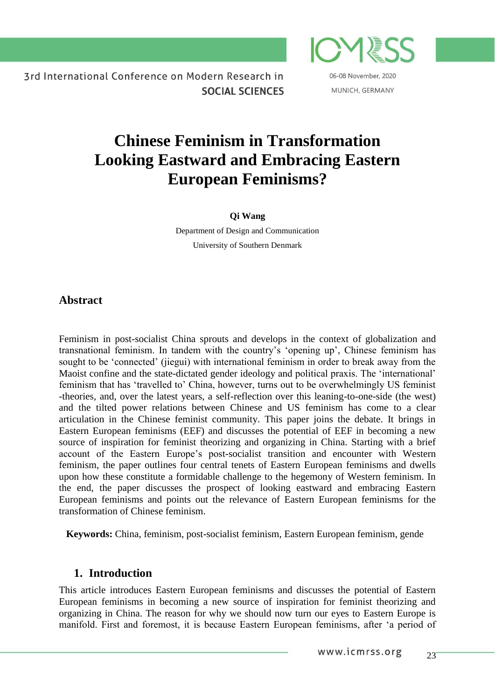06-08 November, 2020 MUNICH, GERMANY

# **Chinese Feminism in Transformation Looking Eastward and Embracing Eastern European Feminisms?**

#### **Qi Wang**

Department of Design and Communication University of Southern Denmark

# **Abstract**

Feminism in post-socialist China sprouts and develops in the context of globalization and transnational feminism. In tandem with the country's 'opening up', Chinese feminism has sought to be 'connected' (jiegui) with international feminism in order to break away from the Maoist confine and the state-dictated gender ideology and political praxis. The 'international' feminism that has 'travelled to' China, however, turns out to be overwhelmingly US feminist -theories, and, over the latest years, a self-reflection over this leaning-to-one-side (the west) and the tilted power relations between Chinese and US feminism has come to a clear articulation in the Chinese feminist community. This paper joins the debate. It brings in Eastern European feminisms (EEF) and discusses the potential of EEF in becoming a new source of inspiration for feminist theorizing and organizing in China. Starting with a brief account of the Eastern Europe's post-socialist transition and encounter with Western feminism, the paper outlines four central tenets of Eastern European feminisms and dwells upon how these constitute a formidable challenge to the hegemony of Western feminism. In the end, the paper discusses the prospect of looking eastward and embracing Eastern European feminisms and points out the relevance of Eastern European feminisms for the transformation of Chinese feminism.

**Keywords:** China, feminism, post-socialist feminism, Eastern European feminism, gende

# **1. Introduction**

This article introduces Eastern European feminisms and discusses the potential of Eastern European feminisms in becoming a new source of inspiration for feminist theorizing and organizing in China. The reason for why we should now turn our eyes to Eastern Europe is manifold. First and foremost, it is because Eastern European feminisms, after 'a period of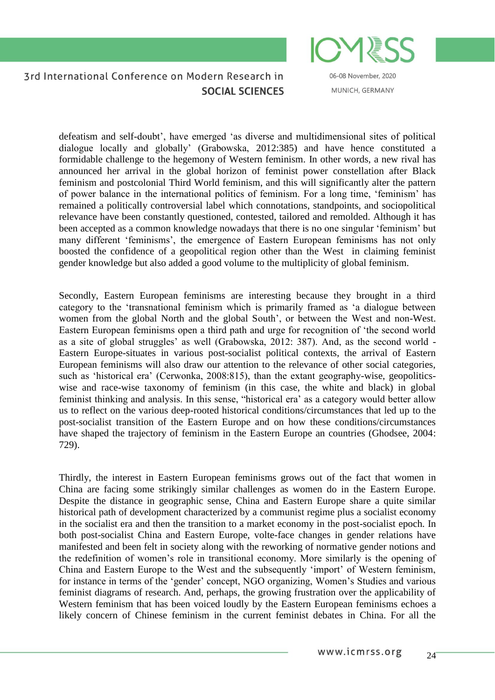

06-08 November, 2020 MUNICH, GERMANY

defeatism and self-doubt', have emerged 'as diverse and multidimensional sites of political dialogue locally and globally' (Grabowska, 2012:385) and have hence constituted a formidable challenge to the hegemony of Western feminism. In other words, a new rival has announced her arrival in the global horizon of feminist power constellation after Black feminism and postcolonial Third World feminism, and this will significantly alter the pattern of power balance in the international politics of feminism. For a long time, 'feminism' has remained a politically controversial label which connotations, standpoints, and sociopolitical relevance have been constantly questioned, contested, tailored and remolded. Although it has been accepted as a common knowledge nowadays that there is no one singular 'feminism' but many different 'feminisms', the emergence of Eastern European feminisms has not only boosted the confidence of a geopolitical region other than the West in claiming feminist gender knowledge but also added a good volume to the multiplicity of global feminism.

Secondly, Eastern European feminisms are interesting because they brought in a third category to the 'transnational feminism which is primarily framed as 'a dialogue between women from the global North and the global South', or between the West and non-West. Eastern European feminisms open a third path and urge for recognition of 'the second world as a site of global struggles' as well (Grabowska, 2012: 387). And, as the second world - Eastern Europe-situates in various post-socialist political contexts, the arrival of Eastern European feminisms will also draw our attention to the relevance of other social categories, such as 'historical era' (Cerwonka, 2008:815), than the extant geography-wise, geopoliticswise and race-wise taxonomy of feminism (in this case, the white and black) in global feminist thinking and analysis. In this sense, "historical era' as a category would better allow us to reflect on the various deep-rooted historical conditions/circumstances that led up to the post-socialist transition of the Eastern Europe and on how these conditions/circumstances have shaped the trajectory of feminism in the Eastern Europe an countries (Ghodsee, 2004: 729).

Thirdly, the interest in Eastern European feminisms grows out of the fact that women in China are facing some strikingly similar challenges as women do in the Eastern Europe. Despite the distance in geographic sense, China and Eastern Europe share a quite similar historical path of development characterized by a communist regime plus a socialist economy in the socialist era and then the transition to a market economy in the post-socialist epoch. In both post-socialist China and Eastern Europe, volte-face changes in gender relations have manifested and been felt in society along with the reworking of normative gender notions and the redefinition of women's role in transitional economy. More similarly is the opening of China and Eastern Europe to the West and the subsequently 'import' of Western feminism, for instance in terms of the 'gender' concept, NGO organizing, Women's Studies and various feminist diagrams of research. And, perhaps, the growing frustration over the applicability of Western feminism that has been voiced loudly by the Eastern European feminisms echoes a likely concern of Chinese feminism in the current feminist debates in China. For all the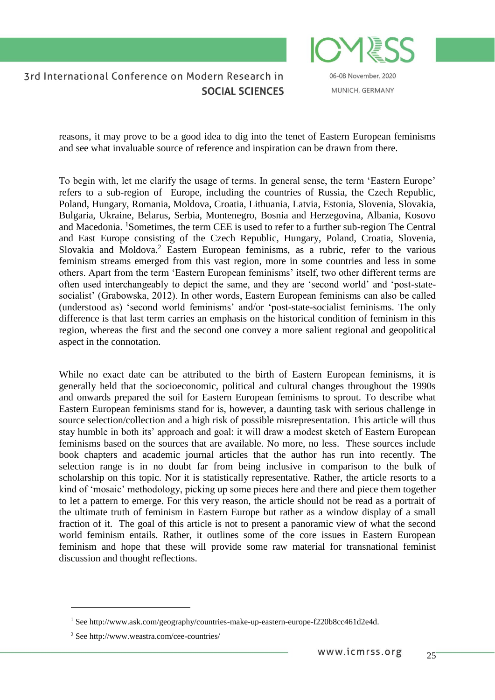

06-08 November, 2020 MUNICH, GERMANY

reasons, it may prove to be a good idea to dig into the tenet of Eastern European feminisms and see what invaluable source of reference and inspiration can be drawn from there.

To begin with, let me clarify the usage of terms. In general sense, the term 'Eastern Europe' refers to a sub-region of Europe, including the countries of Russia, the Czech Republic, Poland, Hungary, Romania, Moldova, Croatia, Lithuania, Latvia, Estonia, Slovenia, Slovakia, Bulgaria, Ukraine, Belarus, Serbia, Montenegro, Bosnia and Herzegovina, Albania, Kosovo and Macedonia. <sup>1</sup>Sometimes, the term CEE is used to refer to a further sub-region The Central and East Europe consisting of the Czech Republic, Hungary, Poland, Croatia, Slovenia, Slovakia and Moldova.<sup>2</sup> Eastern European feminisms, as a rubric, refer to the various feminism streams emerged from this vast region, more in some countries and less in some others. Apart from the term 'Eastern European feminisms' itself, two other different terms are often used interchangeably to depict the same, and they are 'second world' and 'post-statesocialist' (Grabowska, 2012). In other words, Eastern European feminisms can also be called (understood as) 'second world feminisms' and/or 'post-state-socialist feminisms. The only difference is that last term carries an emphasis on the historical condition of feminism in this region, whereas the first and the second one convey a more salient regional and geopolitical aspect in the connotation.

While no exact date can be attributed to the birth of Eastern European feminisms, it is generally held that the socioeconomic, political and cultural changes throughout the 1990s and onwards prepared the soil for Eastern European feminisms to sprout. To describe what Eastern European feminisms stand for is, however, a daunting task with serious challenge in source selection/collection and a high risk of possible misrepresentation. This article will thus stay humble in both its' approach and goal: it will draw a modest sketch of Eastern European feminisms based on the sources that are available. No more, no less. These sources include book chapters and academic journal articles that the author has run into recently. The selection range is in no doubt far from being inclusive in comparison to the bulk of scholarship on this topic. Nor it is statistically representative. Rather, the article resorts to a kind of 'mosaic' methodology, picking up some pieces here and there and piece them together to let a pattern to emerge. For this very reason, the article should not be read as a portrait of the ultimate truth of feminism in Eastern Europe but rather as a window display of a small fraction of it. The goal of this article is not to present a panoramic view of what the second world feminism entails. Rather, it outlines some of the core issues in Eastern European feminism and hope that these will provide some raw material for transnational feminist discussion and thought reflections.

<u>.</u>

<sup>&</sup>lt;sup>1</sup> See http://www.ask.com/geography/countries-make-up-eastern-europe-f220b8cc461d2e4d.

<sup>2</sup> See http://www.weastra.com/cee-countries/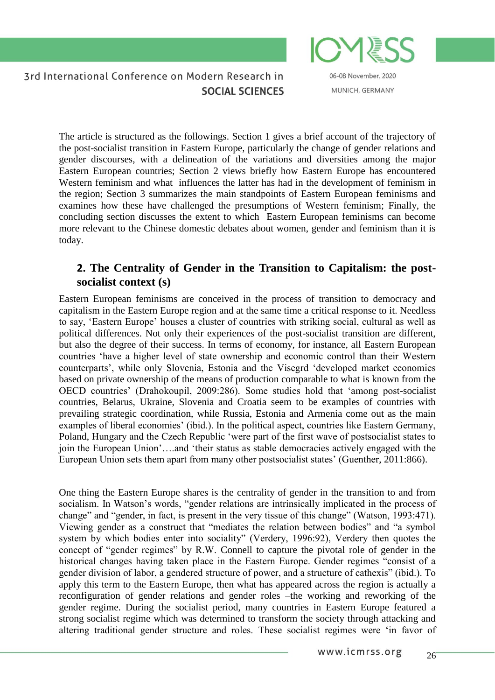06-08 November, 2020 MUNICH, GERMANY

The article is structured as the followings. Section 1 gives a brief account of the trajectory of the post-socialist transition in Eastern Europe, particularly the change of gender relations and gender discourses, with a delineation of the variations and diversities among the major Eastern European countries; Section 2 views briefly how Eastern Europe has encountered Western feminism and what influences the latter has had in the development of feminism in the region; Section 3 summarizes the main standpoints of Eastern European feminisms and examines how these have challenged the presumptions of Western feminism; Finally, the concluding section discusses the extent to which Eastern European feminisms can become more relevant to the Chinese domestic debates about women, gender and feminism than it is today.

# **2. The Centrality of Gender in the Transition to Capitalism: the postsocialist context (s)**

Eastern European feminisms are conceived in the process of transition to democracy and capitalism in the Eastern Europe region and at the same time a critical response to it. Needless to say, 'Eastern Europe' houses a cluster of countries with striking social, cultural as well as political differences. Not only their experiences of the post-socialist transition are different, but also the degree of their success. In terms of economy, for instance, all Eastern European countries 'have a higher level of state ownership and economic control than their Western counterparts', while only Slovenia, Estonia and the Visegrd 'developed market economies based on private ownership of the means of production comparable to what is known from the OECD countries' (Drahokoupil, 2009:286). Some studies hold that 'among post-socialist countries, Belarus, Ukraine, Slovenia and Croatia seem to be examples of countries with prevailing strategic coordination, while Russia, Estonia and Armenia come out as the main examples of liberal economies' (ibid.). In the political aspect, countries like Eastern Germany, Poland, Hungary and the Czech Republic 'were part of the first wave of postsocialist states to join the European Union'….and 'their status as stable democracies actively engaged with the European Union sets them apart from many other postsocialist states' (Guenther, 2011:866).

One thing the Eastern Europe shares is the centrality of gender in the transition to and from socialism. In Watson's words, "gender relations are intrinsically implicated in the process of change" and "gender, in fact, is present in the very tissue of this change" (Watson, 1993:471). Viewing gender as a construct that "mediates the relation between bodies" and "a symbol system by which bodies enter into sociality" (Verdery, 1996:92), Verdery then quotes the concept of "gender regimes" by R.W. Connell to capture the pivotal role of gender in the historical changes having taken place in the Eastern Europe. Gender regimes "consist of a gender division of labor, a gendered structure of power, and a structure of cathexis" (ibid.). To apply this term to the Eastern Europe, then what has appeared across the region is actually a reconfiguration of gender relations and gender roles –the working and reworking of the gender regime. During the socialist period, many countries in Eastern Europe featured a strong socialist regime which was determined to transform the society through attacking and altering traditional gender structure and roles. These socialist regimes were 'in favor of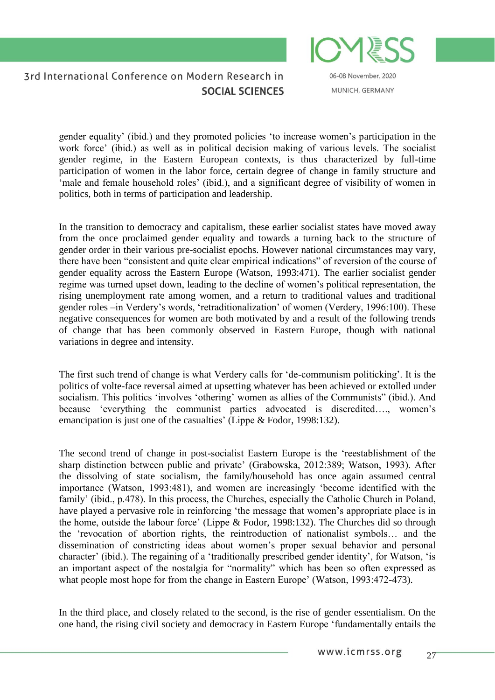

06-08 November, 2020 MUNICH, GERMANY

gender equality' (ibid.) and they promoted policies 'to increase women's participation in the work force' (ibid.) as well as in political decision making of various levels. The socialist gender regime, in the Eastern European contexts, is thus characterized by full-time participation of women in the labor force, certain degree of change in family structure and 'male and female household roles' (ibid.), and a significant degree of visibility of women in politics, both in terms of participation and leadership.

In the transition to democracy and capitalism, these earlier socialist states have moved away from the once proclaimed gender equality and towards a turning back to the structure of gender order in their various pre-socialist epochs. However national circumstances may vary, there have been "consistent and quite clear empirical indications" of reversion of the course of gender equality across the Eastern Europe (Watson, 1993:471). The earlier socialist gender regime was turned upset down, leading to the decline of women's political representation, the rising unemployment rate among women, and a return to traditional values and traditional gender roles –in Verdery's words, 'retraditionalization' of women (Verdery, 1996:100). These negative consequences for women are both motivated by and a result of the following trends of change that has been commonly observed in Eastern Europe, though with national variations in degree and intensity.

The first such trend of change is what Verdery calls for 'de-communism politicking'. It is the politics of volte-face reversal aimed at upsetting whatever has been achieved or extolled under socialism. This politics 'involves 'othering' women as allies of the Communists" (ibid.). And because 'everything the communist parties advocated is discredited…., women's emancipation is just one of the casualties' (Lippe & Fodor, 1998:132).

The second trend of change in post-socialist Eastern Europe is the 'reestablishment of the sharp distinction between public and private' (Grabowska, 2012:389; Watson, 1993). After the dissolving of state socialism, the family/household has once again assumed central importance (Watson, 1993:481), and women are increasingly 'become identified with the family' (ibid., p.478). In this process, the Churches, especially the Catholic Church in Poland, have played a pervasive role in reinforcing 'the message that women's appropriate place is in the home, outside the labour force' (Lippe & Fodor, 1998:132). The Churches did so through the 'revocation of abortion rights, the reintroduction of nationalist symbols… and the dissemination of constricting ideas about women's proper sexual behavior and personal character' (ibid.). The regaining of a 'traditionally prescribed gender identity', for Watson, 'is an important aspect of the nostalgia for "normality" which has been so often expressed as what people most hope for from the change in Eastern Europe' (Watson, 1993:472-473).

In the third place, and closely related to the second, is the rise of gender essentialism. On the one hand, the rising civil society and democracy in Eastern Europe 'fundamentally entails the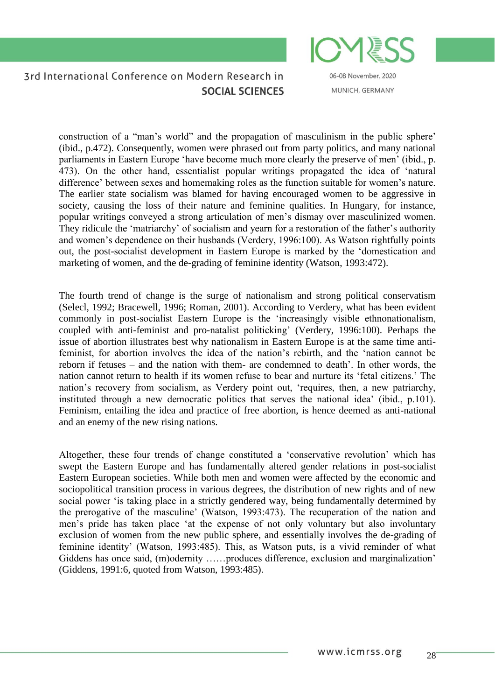06-08 November, 2020 MUNICH, GERMANY

construction of a "man's world" and the propagation of masculinism in the public sphere' (ibid., p.472). Consequently, women were phrased out from party politics, and many national parliaments in Eastern Europe 'have become much more clearly the preserve of men' (ibid., p. 473). On the other hand, essentialist popular writings propagated the idea of 'natural difference' between sexes and homemaking roles as the function suitable for women's nature. The earlier state socialism was blamed for having encouraged women to be aggressive in society, causing the loss of their nature and feminine qualities. In Hungary, for instance, popular writings conveyed a strong articulation of men's dismay over masculinized women. They ridicule the 'matriarchy' of socialism and yearn for a restoration of the father's authority and women's dependence on their husbands (Verdery, 1996:100). As Watson rightfully points out, the post-socialist development in Eastern Europe is marked by the 'domestication and marketing of women, and the de-grading of feminine identity (Watson, 1993:472).

The fourth trend of change is the surge of nationalism and strong political conservatism (Selecl, 1992; Bracewell, 1996; Roman, 2001). According to Verdery, what has been evident commonly in post-socialist Eastern Europe is the 'increasingly visible ethnonationalism, coupled with anti-feminist and pro-natalist politicking' (Verdery, 1996:100). Perhaps the issue of abortion illustrates best why nationalism in Eastern Europe is at the same time antifeminist, for abortion involves the idea of the nation's rebirth, and the 'nation cannot be reborn if fetuses – and the nation with them- are condemned to death'. In other words, the nation cannot return to health if its women refuse to bear and nurture its 'fetal citizens.' The nation's recovery from socialism, as Verdery point out, 'requires, then, a new patriarchy, instituted through a new democratic politics that serves the national idea' (ibid., p.101). Feminism, entailing the idea and practice of free abortion, is hence deemed as anti-national and an enemy of the new rising nations.

Altogether, these four trends of change constituted a 'conservative revolution' which has swept the Eastern Europe and has fundamentally altered gender relations in post-socialist Eastern European societies. While both men and women were affected by the economic and sociopolitical transition process in various degrees, the distribution of new rights and of new social power 'is taking place in a strictly gendered way, being fundamentally determined by the prerogative of the masculine' (Watson, 1993:473). The recuperation of the nation and men's pride has taken place 'at the expense of not only voluntary but also involuntary exclusion of women from the new public sphere, and essentially involves the de-grading of feminine identity' (Watson, 1993:485). This, as Watson puts, is a vivid reminder of what Giddens has once said, (m)odernity ……produces difference, exclusion and marginalization' (Giddens, 1991:6, quoted from Watson, 1993:485).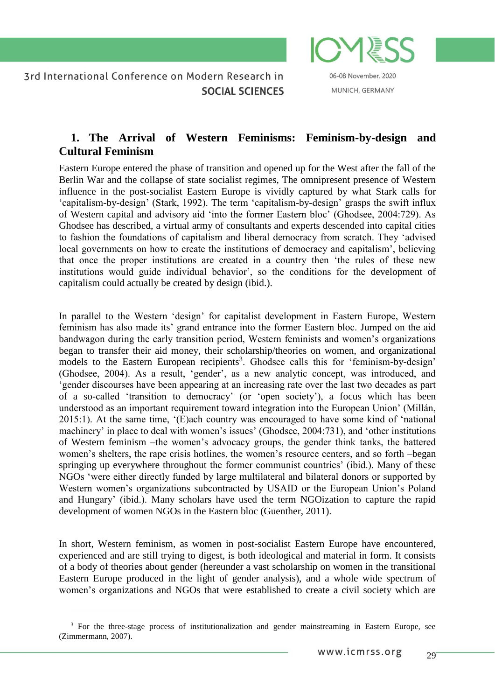

MUNICH, GERMANY

# **1. The Arrival of Western Feminisms: Feminism-by-design and Cultural Feminism**

Eastern Europe entered the phase of transition and opened up for the West after the fall of the Berlin War and the collapse of state socialist regimes, The omnipresent presence of Western influence in the post-socialist Eastern Europe is vividly captured by what Stark calls for 'capitalism-by-design' (Stark, 1992). The term 'capitalism-by-design' grasps the swift influx of Western capital and advisory aid 'into the former Eastern bloc' (Ghodsee, 2004:729). As Ghodsee has described, a virtual army of consultants and experts descended into capital cities to fashion the foundations of capitalism and liberal democracy from scratch. They 'advised local governments on how to create the institutions of democracy and capitalism', believing that once the proper institutions are created in a country then 'the rules of these new institutions would guide individual behavior', so the conditions for the development of capitalism could actually be created by design (ibid.).

In parallel to the Western 'design' for capitalist development in Eastern Europe, Western feminism has also made its' grand entrance into the former Eastern bloc. Jumped on the aid bandwagon during the early transition period, Western feminists and women's organizations began to transfer their aid money, their scholarship/theories on women, and organizational models to the Eastern European recipients<sup>3</sup>. Ghodsee calls this for 'feminism-by-design' (Ghodsee, 2004). As a result, 'gender', as a new analytic concept, was introduced, and 'gender discourses have been appearing at an increasing rate over the last two decades as part of a so-called 'transition to democracy' (or 'open society'), a focus which has been understood as an important requirement toward integration into the European Union' (Millán, 2015:1). At the same time, '(E)ach country was encouraged to have some kind of 'national machinery' in place to deal with women's issues' (Ghodsee, 2004:731), and 'other institutions of Western feminism –the women's advocacy groups, the gender think tanks, the battered women's shelters, the rape crisis hotlines, the women's resource centers, and so forth –began springing up everywhere throughout the former communist countries' (ibid.). Many of these NGOs 'were either directly funded by large multilateral and bilateral donors or supported by Western women's organizations subcontracted by USAID or the European Union's Poland and Hungary' (ibid.). Many scholars have used the term NGOization to capture the rapid development of women NGOs in the Eastern bloc (Guenther, 2011).

In short, Western feminism, as women in post-socialist Eastern Europe have encountered, experienced and are still trying to digest, is both ideological and material in form. It consists of a body of theories about gender (hereunder a vast scholarship on women in the transitional Eastern Europe produced in the light of gender analysis), and a whole wide spectrum of women's organizations and NGOs that were established to create a civil society which are

<u>.</u>

<sup>&</sup>lt;sup>3</sup> For the three-stage process of institutionalization and gender mainstreaming in Eastern Europe, see (Zimmermann, 2007).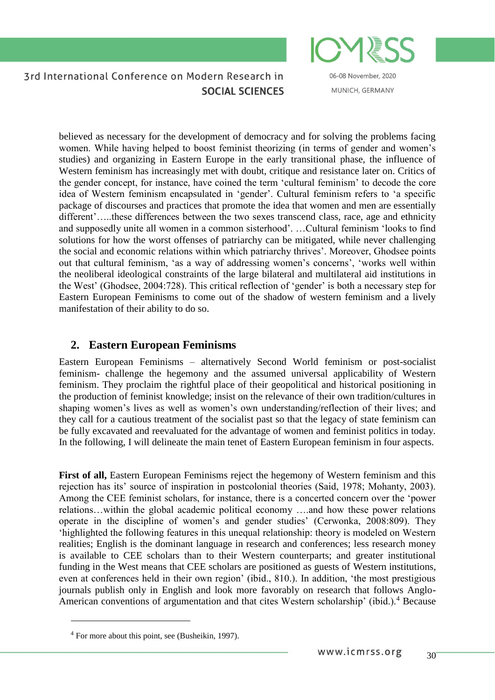

06-08 November, 2020 MUNICH, GERMANY

believed as necessary for the development of democracy and for solving the problems facing women. While having helped to boost feminist theorizing (in terms of gender and women's studies) and organizing in Eastern Europe in the early transitional phase, the influence of Western feminism has increasingly met with doubt, critique and resistance later on. Critics of the gender concept, for instance, have coined the term 'cultural feminism' to decode the core idea of Western feminism encapsulated in 'gender'. Cultural feminism refers to 'a specific package of discourses and practices that promote the idea that women and men are essentially different'…..these differences between the two sexes transcend class, race, age and ethnicity and supposedly unite all women in a common sisterhood'. …Cultural feminism 'looks to find solutions for how the worst offenses of patriarchy can be mitigated, while never challenging the social and economic relations within which patriarchy thrives'. Moreover, Ghodsee points out that cultural feminism, 'as a way of addressing women's concerns', 'works well within the neoliberal ideological constraints of the large bilateral and multilateral aid institutions in the West' (Ghodsee, 2004:728). This critical reflection of 'gender' is both a necessary step for Eastern European Feminisms to come out of the shadow of western feminism and a lively manifestation of their ability to do so.

### **2. Eastern European Feminisms**

Eastern European Feminisms – alternatively Second World feminism or post-socialist feminism- challenge the hegemony and the assumed universal applicability of Western feminism. They proclaim the rightful place of their geopolitical and historical positioning in the production of feminist knowledge; insist on the relevance of their own tradition/cultures in shaping women's lives as well as women's own understanding/reflection of their lives; and they call for a cautious treatment of the socialist past so that the legacy of state feminism can be fully excavated and reevaluated for the advantage of women and feminist politics in today. In the following, I will delineate the main tenet of Eastern European feminism in four aspects.

First of all, Eastern European Feminisms reject the hegemony of Western feminism and this rejection has its' source of inspiration in postcolonial theories (Said, 1978; Mohanty, 2003). Among the CEE feminist scholars, for instance, there is a concerted concern over the 'power relations…within the global academic political economy ….and how these power relations operate in the discipline of women's and gender studies' (Cerwonka, 2008:809). They 'highlighted the following features in this unequal relationship: theory is modeled on Western realities; English is the dominant language in research and conferences; less research money is available to CEE scholars than to their Western counterparts; and greater institutional funding in the West means that CEE scholars are positioned as guests of Western institutions, even at conferences held in their own region' (ibid., 810.). In addition, 'the most prestigious journals publish only in English and look more favorably on research that follows Anglo-American conventions of argumentation and that cites Western scholarship' (ibid.).<sup>4</sup> Because

<sup>4</sup> For more about this point, see (Busheikin, 1997).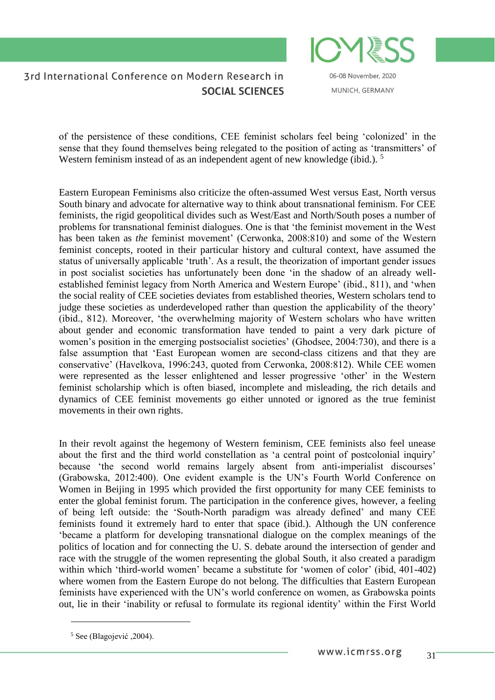

06-08 November, 2020 MUNICH, GERMANY

of the persistence of these conditions, CEE feminist scholars feel being 'colonized' in the sense that they found themselves being relegated to the position of acting as 'transmitters' of Western feminism instead of as an independent agent of new knowledge (ibid.).<sup>5</sup>

Eastern European Feminisms also criticize the often-assumed West versus East, North versus South binary and advocate for alternative way to think about transnational feminism. For CEE feminists, the rigid geopolitical divides such as West/East and North/South poses a number of problems for transnational feminist dialogues. One is that 'the feminist movement in the West has been taken as *the* feminist movement' (Cerwonka, 2008:810) and some of the Western feminist concepts, rooted in their particular history and cultural context, have assumed the status of universally applicable 'truth'. As a result, the theorization of important gender issues in post socialist societies has unfortunately been done 'in the shadow of an already wellestablished feminist legacy from North America and Western Europe' (ibid., 811), and 'when the social reality of CEE societies deviates from established theories, Western scholars tend to judge these societies as underdeveloped rather than question the applicability of the theory' (ibid., 812). Moreover, 'the overwhelming majority of Western scholars who have written about gender and economic transformation have tended to paint a very dark picture of women's position in the emerging postsocialist societies' (Ghodsee, 2004:730), and there is a false assumption that 'East European women are second-class citizens and that they are conservative' (Havelkova, 1996:243, quoted from Cerwonka, 2008:812). While CEE women were represented as the lesser enlightened and lesser progressive 'other' in the Western feminist scholarship which is often biased, incomplete and misleading, the rich details and dynamics of CEE feminist movements go either unnoted or ignored as the true feminist movements in their own rights.

In their revolt against the hegemony of Western feminism, CEE feminists also feel unease about the first and the third world constellation as 'a central point of postcolonial inquiry' because 'the second world remains largely absent from anti-imperialist discourses' (Grabowska, 2012:400). One evident example is the UN's Fourth World Conference on Women in Beijing in 1995 which provided the first opportunity for many CEE feminists to enter the global feminist forum. The participation in the conference gives, however, a feeling of being left outside: the 'South-North paradigm was already defined' and many CEE feminists found it extremely hard to enter that space (ibid.). Although the UN conference 'became a platform for developing transnational dialogue on the complex meanings of the politics of location and for connecting the U. S. debate around the intersection of gender and race with the struggle of the women representing the global South, it also created a paradigm within which 'third-world women' became a substitute for 'women of color' (ibid, 401-402) where women from the Eastern Europe do not belong. The difficulties that Eastern European feminists have experienced with the UN's world conference on women, as Grabowska points out, lie in their 'inability or refusal to formulate its regional identity' within the First World

<sup>5</sup> See (Blagojević ,2004).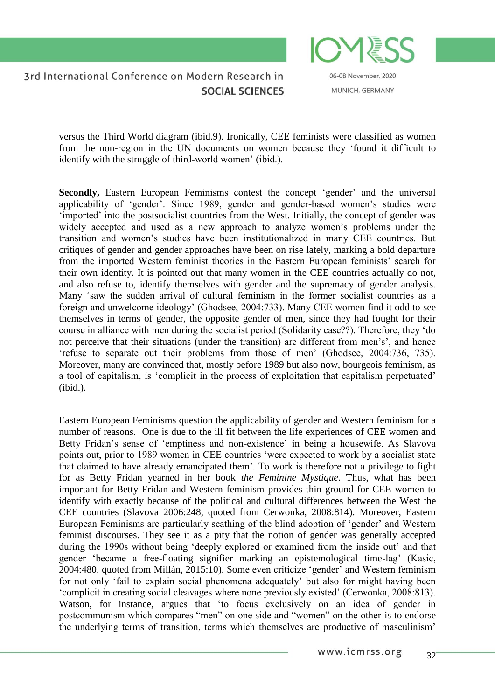06-08 November, 2020 MUNICH, GERMANY

versus the Third World diagram (ibid.9). Ironically, CEE feminists were classified as women from the non-region in the UN documents on women because they 'found it difficult to identify with the struggle of third-world women' (ibid.).

Secondly, Eastern European Feminisms contest the concept 'gender' and the universal applicability of 'gender'. Since 1989, gender and gender-based women's studies were 'imported' into the postsocialist countries from the West. Initially, the concept of gender was widely accepted and used as a new approach to analyze women's problems under the transition and women's studies have been institutionalized in many CEE countries. But critiques of gender and gender approaches have been on rise lately, marking a bold departure from the imported Western feminist theories in the Eastern European feminists' search for their own identity. It is pointed out that many women in the CEE countries actually do not, and also refuse to, identify themselves with gender and the supremacy of gender analysis. Many 'saw the sudden arrival of cultural feminism in the former socialist countries as a foreign and unwelcome ideology' (Ghodsee, 2004:733). Many CEE women find it odd to see themselves in terms of gender, the opposite gender of men, since they had fought for their course in alliance with men during the socialist period (Solidarity case??). Therefore, they 'do not perceive that their situations (under the transition) are different from men's', and hence 'refuse to separate out their problems from those of men' (Ghodsee, 2004:736, 735). Moreover, many are convinced that, mostly before 1989 but also now, bourgeois feminism, as a tool of capitalism, is 'complicit in the process of exploitation that capitalism perpetuated' (ibid.).

Eastern European Feminisms question the applicability of gender and Western feminism for a number of reasons. One is due to the ill fit between the life experiences of CEE women and Betty Fridan's sense of 'emptiness and non-existence' in being a housewife. As Slavova points out, prior to 1989 women in CEE countries 'were expected to work by a socialist state that claimed to have already emancipated them'. To work is therefore not a privilege to fight for as Betty Fridan yearned in her book *the Feminine Mystique*. Thus, what has been important for Betty Fridan and Western feminism provides thin ground for CEE women to identify with exactly because of the political and cultural differences between the West the CEE countries (Slavova 2006:248, quoted from Cerwonka, 2008:814). Moreover, Eastern European Feminisms are particularly scathing of the blind adoption of 'gender' and Western feminist discourses. They see it as a pity that the notion of gender was generally accepted during the 1990s without being 'deeply explored or examined from the inside out' and that gender 'became a free-floating signifier marking an epistemological time-lag' (Kasic, 2004:480, quoted from Millán, 2015:10). Some even criticize 'gender' and Western feminism for not only 'fail to explain social phenomena adequately' but also for might having been 'complicit in creating social cleavages where none previously existed' (Cerwonka, 2008:813). Watson, for instance, argues that 'to focus exclusively on an idea of gender in postcommunism which compares "men" on one side and "women" on the other-is to endorse the underlying terms of transition, terms which themselves are productive of masculinism'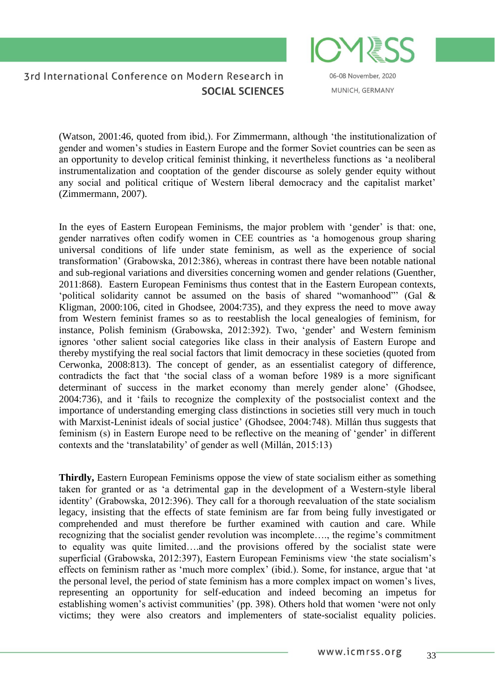

06-08 November, 2020 MUNICH, GERMANY

(Watson, 2001:46, quoted from ibid,). For Zimmermann, although 'the institutionalization of gender and women's studies in Eastern Europe and the former Soviet countries can be seen as an opportunity to develop critical feminist thinking, it nevertheless functions as 'a neoliberal instrumentalization and cooptation of the gender discourse as solely gender equity without any social and political critique of Western liberal democracy and the capitalist market' (Zimmermann, 2007).

In the eyes of Eastern European Feminisms, the major problem with 'gender' is that: one, gender narratives often codify women in CEE countries as 'a homogenous group sharing universal conditions of life under state feminism, as well as the experience of social transformation' (Grabowska, 2012:386), whereas in contrast there have been notable national and sub-regional variations and diversities concerning women and gender relations (Guenther, 2011:868). Eastern European Feminisms thus contest that in the Eastern European contexts, 'political solidarity cannot be assumed on the basis of shared "womanhood"' (Gal & Kligman, 2000:106, cited in Ghodsee, 2004:735), and they express the need to move away from Western feminist frames so as to reestablish the local genealogies of feminism, for instance, Polish feminism (Grabowska, 2012:392). Two, 'gender' and Western feminism ignores 'other salient social categories like class in their analysis of Eastern Europe and thereby mystifying the real social factors that limit democracy in these societies (quoted from Cerwonka, 2008:813). The concept of gender, as an essentialist category of difference, contradicts the fact that 'the social class of a woman before 1989 is a more significant determinant of success in the market economy than merely gender alone' (Ghodsee, 2004:736), and it 'fails to recognize the complexity of the postsocialist context and the importance of understanding emerging class distinctions in societies still very much in touch with Marxist-Leninist ideals of social justice' (Ghodsee, 2004:748). Millán thus suggests that feminism (s) in Eastern Europe need to be reflective on the meaning of 'gender' in different contexts and the 'translatability' of gender as well (Millán, 2015:13)

**Thirdly,** Eastern European Feminisms oppose the view of state socialism either as something taken for granted or as 'a detrimental gap in the development of a Western-style liberal identity' (Grabowska, 2012:396). They call for a thorough reevaluation of the state socialism legacy, insisting that the effects of state feminism are far from being fully investigated or comprehended and must therefore be further examined with caution and care. While recognizing that the socialist gender revolution was incomplete…., the regime's commitment to equality was quite limited….and the provisions offered by the socialist state were superficial (Grabowska, 2012:397), Eastern European Feminisms view 'the state socialism's effects on feminism rather as 'much more complex' (ibid.). Some, for instance, argue that 'at the personal level, the period of state feminism has a more complex impact on women's lives, representing an opportunity for self-education and indeed becoming an impetus for establishing women's activist communities' (pp. 398). Others hold that women 'were not only victims; they were also creators and implementers of state-socialist equality policies.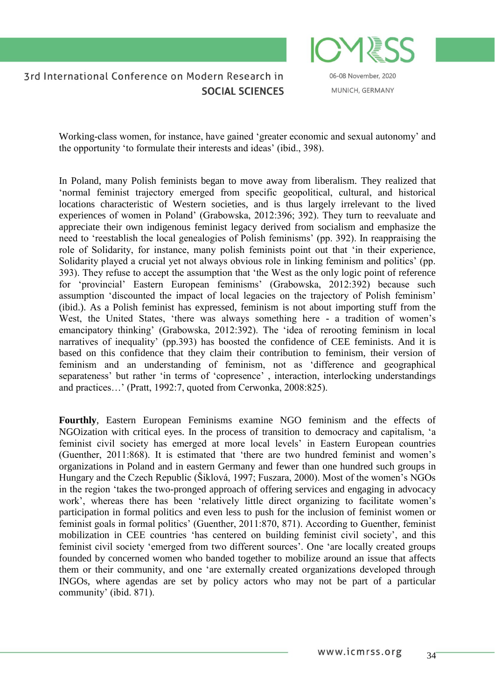

06-08 November, 2020 MUNICH, GERMANY

Working-class women, for instance, have gained 'greater economic and sexual autonomy' and the opportunity 'to formulate their interests and ideas' (ibid., 398).

In Poland, many Polish feminists began to move away from liberalism. They realized that 'normal feminist trajectory emerged from specific geopolitical, cultural, and historical locations characteristic of Western societies, and is thus largely irrelevant to the lived experiences of women in Poland' (Grabowska, 2012:396; 392). They turn to reevaluate and appreciate their own indigenous feminist legacy derived from socialism and emphasize the need to 'reestablish the local genealogies of Polish feminisms' (pp. 392). In reappraising the role of Solidarity, for instance, many polish feminists point out that 'in their experience, Solidarity played a crucial yet not always obvious role in linking feminism and politics' (pp. 393). They refuse to accept the assumption that 'the West as the only logic point of reference for 'provincial' Eastern European feminisms' (Grabowska, 2012:392) because such assumption 'discounted the impact of local legacies on the trajectory of Polish feminism' (ibid.). As a Polish feminist has expressed, feminism is not about importing stuff from the West, the United States, 'there was always something here - a tradition of women's emancipatory thinking' (Grabowska, 2012:392). The 'idea of rerooting feminism in local narratives of inequality' (pp.393) has boosted the confidence of CEE feminists. And it is based on this confidence that they claim their contribution to feminism, their version of feminism and an understanding of feminism, not as 'difference and geographical separateness' but rather 'in terms of 'copresence', interaction, interlocking understandings and practices…' (Pratt, 1992:7, quoted from Cerwonka, 2008:825).

**Fourthly**, Eastern European Feminisms examine NGO feminism and the effects of NGOization with critical eyes. In the process of transition to democracy and capitalism, 'a feminist civil society has emerged at more local levels' in Eastern European countries (Guenther, 2011:868). It is estimated that 'there are two hundred feminist and women's organizations in Poland and in eastern Germany and fewer than one hundred such groups in Hungary and the Czech Republic (Šiklová, 1997; Fuszara, 2000). Most of the women's NGOs in the region 'takes the two-pronged approach of offering services and engaging in advocacy work', whereas there has been 'relatively little direct organizing to facilitate women's participation in formal politics and even less to push for the inclusion of feminist women or feminist goals in formal politics' (Guenther, 2011:870, 871). According to Guenther, feminist mobilization in CEE countries 'has centered on building feminist civil society', and this feminist civil society 'emerged from two different sources'. One 'are locally created groups founded by concerned women who banded together to mobilize around an issue that affects them or their community, and one 'are externally created organizations developed through INGOs, where agendas are set by policy actors who may not be part of a particular community' (ibid. 871).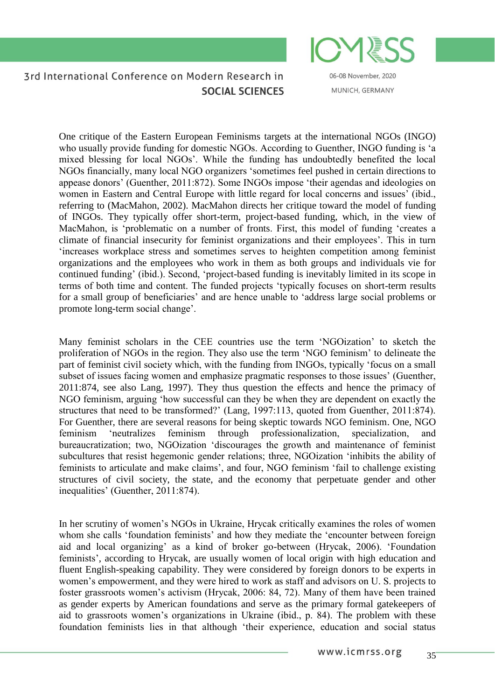

06-08 November, 2020 MUNICH, GERMANY

One critique of the Eastern European Feminisms targets at the international NGOs (INGO) who usually provide funding for domestic NGOs. According to Guenther, INGO funding is 'a mixed blessing for local NGOs'. While the funding has undoubtedly benefited the local NGOs financially, many local NGO organizers 'sometimes feel pushed in certain directions to appease donors' (Guenther, 2011:872). Some INGOs impose 'their agendas and ideologies on women in Eastern and Central Europe with little regard for local concerns and issues' (ibid., referring to (MacMahon, 2002). MacMahon directs her critique toward the model of funding of INGOs. They typically offer short-term, project-based funding, which, in the view of MacMahon, is 'problematic on a number of fronts. First, this model of funding 'creates a climate of financial insecurity for feminist organizations and their employees'. This in turn 'increases workplace stress and sometimes serves to heighten competition among feminist organizations and the employees who work in them as both groups and individuals vie for continued funding' (ibid.). Second, 'project-based funding is inevitably limited in its scope in terms of both time and content. The funded projects 'typically focuses on short-term results for a small group of beneficiaries' and are hence unable to 'address large social problems or promote long-term social change'.

Many feminist scholars in the CEE countries use the term 'NGOization' to sketch the proliferation of NGOs in the region. They also use the term 'NGO feminism' to delineate the part of feminist civil society which, with the funding from INGOs, typically 'focus on a small subset of issues facing women and emphasize pragmatic responses to those issues' (Guenther, 2011:874, see also Lang, 1997). They thus question the effects and hence the primacy of NGO feminism, arguing 'how successful can they be when they are dependent on exactly the structures that need to be transformed?' (Lang, 1997:113, quoted from Guenther, 2011:874). For Guenther, there are several reasons for being skeptic towards NGO feminism. One, NGO feminism 'neutralizes feminism through professionalization, specialization, and bureaucratization; two, NGOization 'discourages the growth and maintenance of feminist subcultures that resist hegemonic gender relations; three, NGOization 'inhibits the ability of feminists to articulate and make claims', and four, NGO feminism 'fail to challenge existing structures of civil society, the state, and the economy that perpetuate gender and other inequalities' (Guenther, 2011:874).

In her scrutiny of women's NGOs in Ukraine, Hrycak critically examines the roles of women whom she calls 'foundation feminists' and how they mediate the 'encounter between foreign aid and local organizing' as a kind of broker go-between (Hrycak, 2006). 'Foundation feminists', according to Hrycak, are usually women of local origin with high education and fluent English-speaking capability. They were considered by foreign donors to be experts in women's empowerment, and they were hired to work as staff and advisors on U. S. projects to foster grassroots women's activism (Hrycak, 2006: 84, 72). Many of them have been trained as gender experts by American foundations and serve as the primary formal gatekeepers of aid to grassroots women's organizations in Ukraine (ibid., p. 84). The problem with these foundation feminists lies in that although 'their experience, education and social status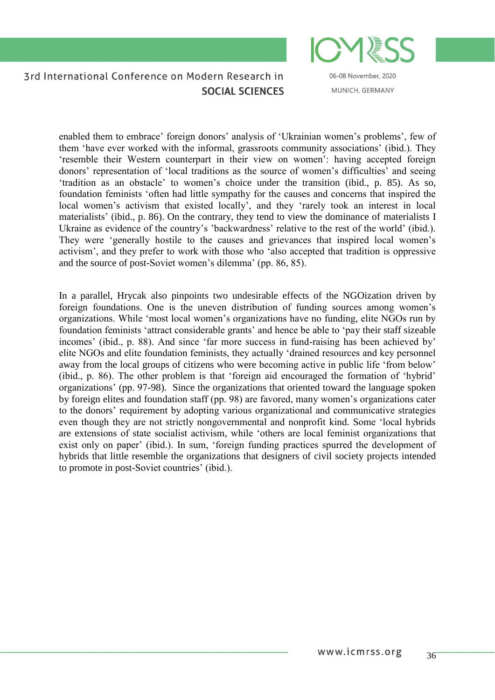06-08 November, 2020 MUNICH, GERMANY

enabled them to embrace' foreign donors' analysis of 'Ukrainian women's problems', few of them 'have ever worked with the informal, grassroots community associations' (ibid.). They 'resemble their Western counterpart in their view on women': having accepted foreign donors' representation of 'local traditions as the source of women's difficulties' and seeing 'tradition as an obstacle' to women's choice under the transition (ibid., p. 85). As so, foundation feminists 'often had little sympathy for the causes and concerns that inspired the local women's activism that existed locally', and they 'rarely took an interest in local materialists' (ibid., p. 86). On the contrary, they tend to view the dominance of materialists I Ukraine as evidence of the country's 'backwardness' relative to the rest of the world' (ibid.). They were 'generally hostile to the causes and grievances that inspired local women's activism', and they prefer to work with those who 'also accepted that tradition is oppressive and the source of post-Soviet women's dilemma' (pp. 86, 85).

In a parallel, Hrycak also pinpoints two undesirable effects of the NGOization driven by foreign foundations. One is the uneven distribution of funding sources among women's organizations. While 'most local women's organizations have no funding, elite NGOs run by foundation feminists 'attract considerable grants' and hence be able to 'pay their staff sizeable incomes' (ibid., p. 88). And since 'far more success in fund-raising has been achieved by' elite NGOs and elite foundation feminists, they actually 'drained resources and key personnel away from the local groups of citizens who were becoming active in public life 'from below' (ibid., p. 86). The other problem is that 'foreign aid encouraged the formation of 'hybrid' organizations' (pp. 97-98). Since the organizations that oriented toward the language spoken by foreign elites and foundation staff (pp. 98) are favored, many women's organizations cater to the donors' requirement by adopting various organizational and communicative strategies even though they are not strictly nongovernmental and nonprofit kind. Some 'local hybrids are extensions of state socialist activism, while 'others are local feminist organizations that exist only on paper' (ibid.). In sum, 'foreign funding practices spurred the development of hybrids that little resemble the organizations that designers of civil society projects intended to promote in post-Soviet countries' (ibid.).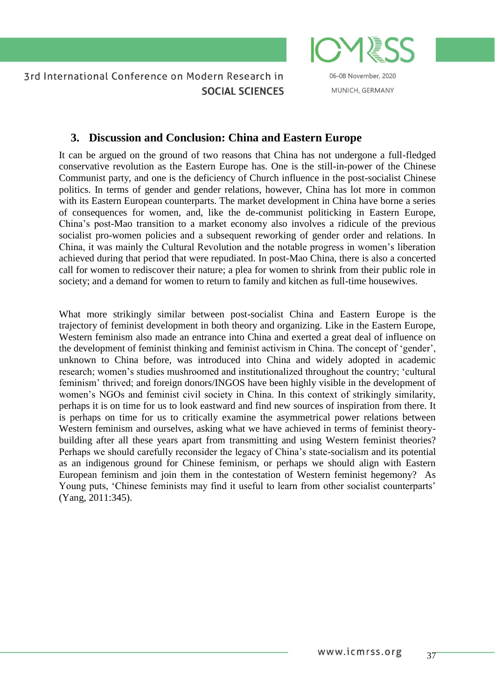

06-08 November, 2020 MUNICH, GERMANY

# **3. Discussion and Conclusion: China and Eastern Europe**

It can be argued on the ground of two reasons that China has not undergone a full-fledged conservative revolution as the Eastern Europe has. One is the still-in-power of the Chinese Communist party, and one is the deficiency of Church influence in the post-socialist Chinese politics. In terms of gender and gender relations, however, China has lot more in common with its Eastern European counterparts. The market development in China have borne a series of consequences for women, and, like the de-communist politicking in Eastern Europe, China's post-Mao transition to a market economy also involves a ridicule of the previous socialist pro-women policies and a subsequent reworking of gender order and relations. In China, it was mainly the Cultural Revolution and the notable progress in women's liberation achieved during that period that were repudiated. In post-Mao China, there is also a concerted call for women to rediscover their nature; a plea for women to shrink from their public role in society; and a demand for women to return to family and kitchen as full-time housewives.

What more strikingly similar between post-socialist China and Eastern Europe is the trajectory of feminist development in both theory and organizing. Like in the Eastern Europe, Western feminism also made an entrance into China and exerted a great deal of influence on the development of feminist thinking and feminist activism in China. The concept of 'gender', unknown to China before, was introduced into China and widely adopted in academic research; women's studies mushroomed and institutionalized throughout the country; 'cultural feminism' thrived; and foreign donors/INGOS have been highly visible in the development of women's NGOs and feminist civil society in China. In this context of strikingly similarity, perhaps it is on time for us to look eastward and find new sources of inspiration from there. It is perhaps on time for us to critically examine the asymmetrical power relations between Western feminism and ourselves, asking what we have achieved in terms of feminist theorybuilding after all these years apart from transmitting and using Western feminist theories? Perhaps we should carefully reconsider the legacy of China's state-socialism and its potential as an indigenous ground for Chinese feminism, or perhaps we should align with Eastern European feminism and join them in the contestation of Western feminist hegemony? As Young puts, 'Chinese feminists may find it useful to learn from other socialist counterparts' (Yang, 2011:345).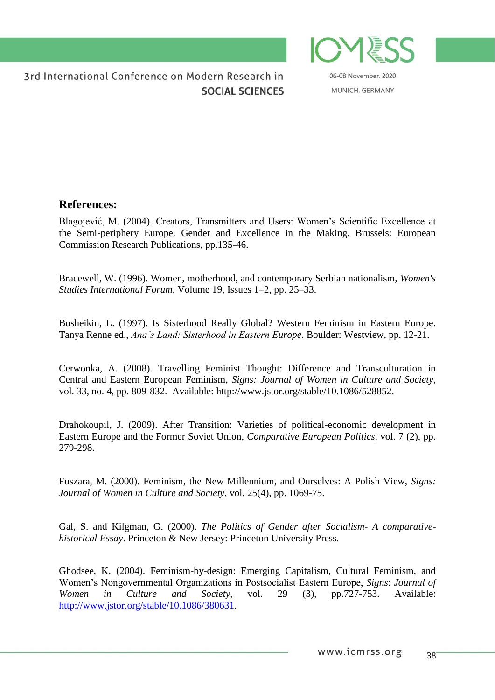

06-08 November, 2020 MUNICH, GERMANY

# **References:**

Blagojević, M. (2004). Creators, Transmitters and Users: Women's Scientific Excellence at the Semi-periphery Europe. Gender and Excellence in the Making. Brussels: European Commission Research Publications, pp.135-46.

Bracewell, [W. \(](http://www.sciencedirect.com/science/article/pii/0277539595000615)1996). Women, motherhood, and contemporary Serbian nationalism, *[Women's](http://www.sciencedirect.com/science/journal/02775395)  [Studies International Forum](http://www.sciencedirect.com/science/journal/02775395)*, [Volume 19, Issues 1–2,](http://www.sciencedirect.com/science/journal/02775395/19/1) pp. 25–33.

Busheikin, L. (1997). Is Sisterhood Really Global? Western Feminism in Eastern Europe. Tanya Renne ed., *Ana's Land: Sisterhood in Eastern Europe*. Boulder: Westview, pp. 12-21.

Cerwonka, A. (2008). Travelling Feminist Thought: Difference and Transculturation in Central and Eastern European Feminism, *Signs: Journal of Women in Culture and Society,* vol. 33, no. 4, pp. 809-832. Available: [http://www.jstor.org/stable/10.1086/528852.](http://www.jstor.org/stable/10.1086/528852)

Drahokoupil, J. (2009). After Transition: Varieties of political-economic development in Eastern Europe and the Former Soviet Union, *Comparative European Politics*, vol. 7 (2), pp. 279-298.

Fuszara, M. (2000). Feminism, the New Millennium, and Ourselves: A Polish View, *Signs: Journal of Women in Culture and Society,* vol. 25(4), pp. 1069-75.

Gal, S. and Kilgman, G. (2000). *The Politics of Gender after Socialism- A comparativehistorical Essay*. Princeton & New Jersey: Princeton University Press.

Ghodsee, K. (2004). Feminism-by-design: Emerging Capitalism, Cultural Feminism, and Women's Nongovernmental Organizations in Postsocialist Eastern Europe, *Signs*: *Journal of Women in Culture and Society,* vol. 29 (3), pp.727-753. Available: [http://www.jstor.org/stable/10.1086/380631.](http://www.jstor.org/stable/10.1086/380631)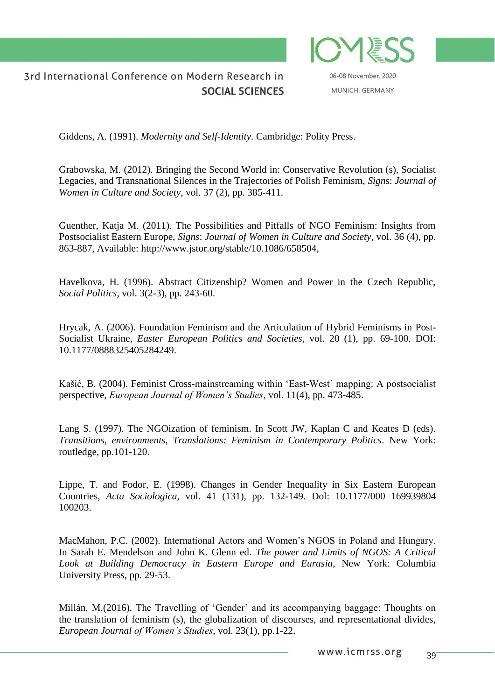

06-08 November, 2020 MUNICH, GERMANY

Giddens, A. (1991). *Modernity and Self-Identity*. Cambridge: Polity Press.

Grabowska, M. (2012). Bringing the Second World in: Conservative Revolution (s), Socialist Legacies, and Transnational Silences in the Trajectories of Polish Feminism, *Sign*s: *Journal of Women in Culture and Society*, vol. 37 (2), pp. 385-411.

Guenther, Katja M. (2011). The Possibilities and Pitfalls of NGO Feminism: Insights from Postsocialist Eastern Europe, *Signs*: *Journal of Women in Culture and Society*, vol. 36 (4), pp. 863-887, Available: [http://www.jstor.org/stable/10.1086/658504,](http://www.jstor.org/stable/10.1086/658504)

Havelkova, H. (1996). Abstract Citizenship? Women and Power in the Czech Republic, *Social Politics*, vol. 3(2-3), pp. 243-60.

Hrycak, A. (2006). Foundation Feminism and the Articulation of Hybrid Feminisms in Post-Socialist Ukraine, *Easter European Politics and Societies,* vol. 20 (1), pp. 69-100. DOI: 10.1177/0888325405284249.

[Kašić,](http://ejw.sagepub.com/search?author1=Biljana+Ka%C5%A1i%C4%87&sortspec=date&submit=Submit) B. (2004). Feminist Cross-mainstreaming within 'East-West' mapping: A postsocialist perspective, *European Journal of Women's Studies*, vol. 11(4), pp. 473-485.

Lang S. (1997). The NGOization of feminism. In Scott JW, Kaplan C and Keates D (eds). *Transitions, environments, Translations: Feminism in Contemporary Politics*. New York: routledge, pp.101-120.

Lippe, T. and Fodor, E. (1998). Changes in Gender Inequality in Six Eastern European Countries, *Acta Sociologica,* vol. 41 (131), pp. 132-149. Dol: 10.1177/000 169939804 100203.

MacMahon, P.C. (2002). International Actors and Women's NGOS in Poland and Hungary. In Sarah E. Mendelson and John K. Glenn ed. *The power and Limits of NGOS: A Critical Look at Building Democracy in Eastern Europe and Eurasia*, New York: Columbia University Press, pp. 29-53.

Millán, M.(2016). The Travelling of 'Gender' and its accompanying baggage: Thoughts on the translation of feminism (s), the globalization of discourses, and representational divides, *European Journal of Women's Studies*, vol. 23(1), pp.1-22.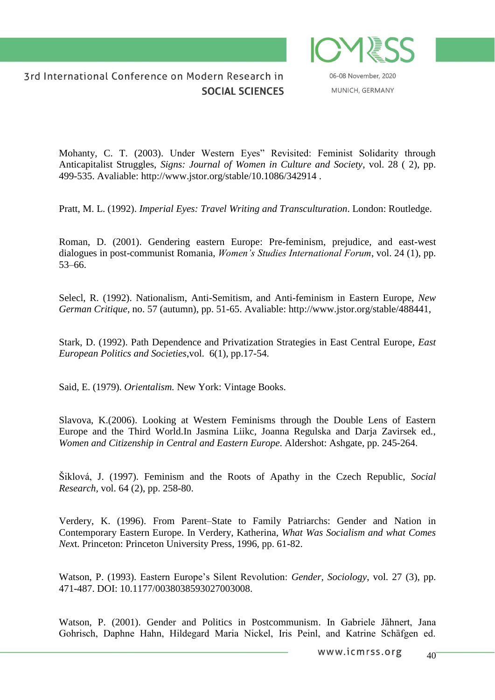

06-08 November, 2020 MUNICH, GERMANY

Mohanty, C. T. (2003). Under Western Eyes" Revisited: Feminist Solidarity through Anticapitalist Struggles, *Signs: Journal of Women in Culture and Society*, vol. 28 ( 2), pp. 499-535. Avaliable: http://www.jstor.org/stable/10.1086/342914 .

Pratt, M. L. (1992). *Imperial Eyes: Travel Writing and Transculturation*. London: Routledge.

Roman, [D.](http://www.sciencedirect.com/science/article/pii/S0277539500001618?np=y) (2001). Gendering eastern Europe: Pre-feminism, prejudice, and east-west dialogues in post-communist Romania, *Women's Studies International Forum*, vol. 24 (1), pp. 53–66.

Selecl, R. (1992). Nationalism, Anti-Semitism, and Anti-feminism in Eastern Europe, *New German Critique,* no. 57 (autumn), pp. 51-65. Avaliable: [http://www.jstor.org/stable/488441,](http://www.jstor.org/stable/488441)

Stark, D. (1992). Path Dependence and Privatization Strategies in East Central Europe*, East European Politics and Societies*,vol. 6(1), pp.17-54.

Said, E. (1979). *Orientalism.* New York: Vintage Books.

Slavova, K.(2006). Looking at Western Feminisms through the Double Lens of Eastern Europe and the Third World.In Jasmina Liikc, Joanna Regulska and Darja Zavirsek ed., *Women and Citizenship in Central and Eastern Europe*. Aldershot: Ashgate, pp. 245-264.

Šiklová, J. (1997). Feminism and the Roots of Apathy in the Czech Republic, *Social Research,* vol. 64 (2), pp. 258-80.

Verdery, K. (1996). From Parent–State to Family Patriarchs: Gender and Nation in Contemporary Eastern Europe. In Verdery, Katherina, *What Was Socialism and what Comes Nex*t. Princeton: Princeton University Press, 1996, pp. 61-82.

Watson, P. (1993). Eastern Europe's Silent Revolution: *Gender, Sociology*, vol. 27 (3), pp. 471-487. DOI: 10.1177/0038038593027003008.

Watson, P. (2001). Gender and Politics in Postcommunism. In Gabriele Jähnert, Jana Gohrisch, Daphne Hahn, Hildegard Maria Nickel, Iris Peinl, and Katrine Schäfgen ed.